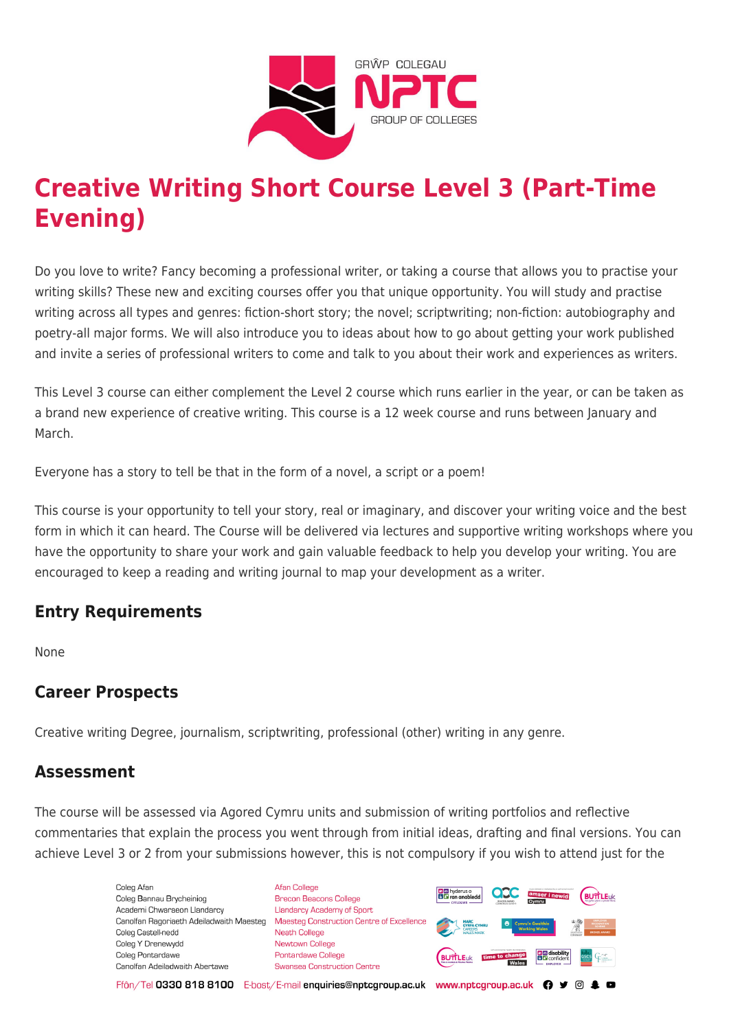

# **Creative Writing Short Course Level 3 (Part-Time Evening)**

Do you love to write? Fancy becoming a professional writer, or taking a course that allows you to practise your writing skills? These new and exciting courses offer you that unique opportunity. You will study and practise writing across all types and genres: fiction-short story; the novel; scriptwriting; non-fiction: autobiography and poetry-all major forms. We will also introduce you to ideas about how to go about getting your work published and invite a series of professional writers to come and talk to you about their work and experiences as writers.

This Level 3 course can either complement the Level 2 course which runs earlier in the year, or can be taken as a brand new experience of creative writing. This course is a 12 week course and runs between January and March.

Everyone has a story to tell be that in the form of a novel, a script or a poem!

This course is your opportunity to tell your story, real or imaginary, and discover your writing voice and the best form in which it can heard. The Course will be delivered via lectures and supportive writing workshops where you have the opportunity to share your work and gain valuable feedback to help you develop your writing. You are encouraged to keep a reading and writing journal to map your development as a writer.

## **Entry Requirements**

None

# **Career Prospects**

Creative writing Degree, journalism, scriptwriting, professional (other) writing in any genre.

## **Assessment**

The course will be assessed via Agored Cymru units and submission of writing portfolios and reflective commentaries that explain the process you went through from initial ideas, drafting and final versions. You can achieve Level 3 or 2 from your submissions however, this is not compulsory if you wish to attend just for the

> Coleg Afar Coleg Bannau Brycheiniog Academi Chwaraeon Llandarcy Canolfan Ragoriaeth Adeiladwaith Maesteg Coleg Castell-nedd Coleg Y Drenewydd Coleg Pontardawe Canolfan Adeiladwaith Abertawe

**Afan College** Brecon Beacons College **Llandarcy Academy of Sport** Maesteg Construction Centre of Excellence Neath College Newtown College Pontardawe College Swansea Construction Centre



Ffôn/Tel 0330 818 8100 E-bost/E-mail enquiries@nptcgroup.ac.uk www.nptcgroup.ac.uk ? • © \$